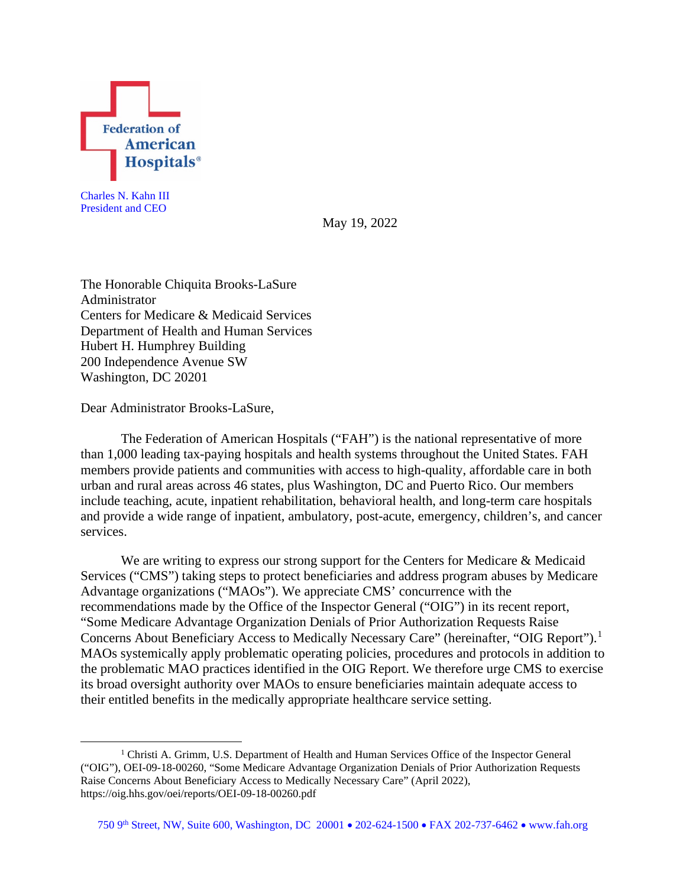

Charles N. Kahn III President and CEO

May 19, 2022

The Honorable Chiquita Brooks-LaSure Administrator Centers for Medicare & Medicaid Services Department of Health and Human Services Hubert H. Humphrey Building 200 Independence Avenue SW Washington, DC 20201

Dear Administrator Brooks-LaSure,

The Federation of American Hospitals ("FAH") is the national representative of more than 1,000 leading tax-paying hospitals and health systems throughout the United States. FAH members provide patients and communities with access to high-quality, affordable care in both urban and rural areas across 46 states, plus Washington, DC and Puerto Rico. Our members include teaching, acute, inpatient rehabilitation, behavioral health, and long-term care hospitals and provide a wide range of inpatient, ambulatory, post-acute, emergency, children's, and cancer services.

We are writing to express our strong support for the Centers for Medicare & Medicaid Services ("CMS") taking steps to protect beneficiaries and address program abuses by Medicare Advantage organizations ("MAOs"). We appreciate CMS' concurrence with the recommendations made by the Office of the Inspector General ("OIG") in its recent report, "Some Medicare Advantage Organization Denials of Prior Authorization Requests Raise Concerns About Beneficiary Access to Medically Necessary Care" (hereinafter, "OIG Report").<sup>[1](#page-0-0)</sup> MAOs systemically apply problematic operating policies, procedures and protocols in addition to the problematic MAO practices identified in the OIG Report. We therefore urge CMS to exercise its broad oversight authority over MAOs to ensure beneficiaries maintain adequate access to their entitled benefits in the medically appropriate healthcare service setting.

<span id="page-0-0"></span><sup>&</sup>lt;sup>1</sup> Christi A. Grimm, U.S. Department of Health and Human Services Office of the Inspector General ("OIG"), OEI-09-18-00260, "Some Medicare Advantage Organization Denials of Prior Authorization Requests Raise Concerns About Beneficiary Access to Medically Necessary Care" (April 2022), https://oig.hhs.gov/oei/reports/OEI-09-18-00260.pdf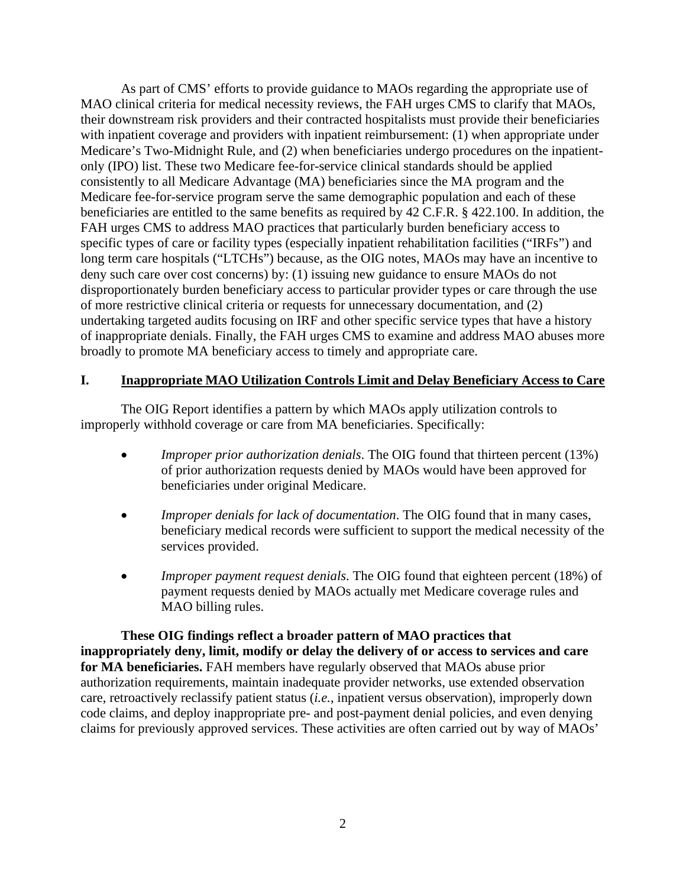As part of CMS' efforts to provide guidance to MAOs regarding the appropriate use of MAO clinical criteria for medical necessity reviews, the FAH urges CMS to clarify that MAOs, their downstream risk providers and their contracted hospitalists must provide their beneficiaries with inpatient coverage and providers with inpatient reimbursement: (1) when appropriate under Medicare's Two-Midnight Rule, and (2) when beneficiaries undergo procedures on the inpatientonly (IPO) list. These two Medicare fee-for-service clinical standards should be applied consistently to all Medicare Advantage (MA) beneficiaries since the MA program and the Medicare fee-for-service program serve the same demographic population and each of these beneficiaries are entitled to the same benefits as required by 42 C.F.R. § 422.100. In addition, the FAH urges CMS to address MAO practices that particularly burden beneficiary access to specific types of care or facility types (especially inpatient rehabilitation facilities ("IRFs") and long term care hospitals ("LTCHs") because, as the OIG notes, MAOs may have an incentive to deny such care over cost concerns) by: (1) issuing new guidance to ensure MAOs do not disproportionately burden beneficiary access to particular provider types or care through the use of more restrictive clinical criteria or requests for unnecessary documentation, and (2) undertaking targeted audits focusing on IRF and other specific service types that have a history of inappropriate denials. Finally, the FAH urges CMS to examine and address MAO abuses more broadly to promote MA beneficiary access to timely and appropriate care.

## **I. Inappropriate MAO Utilization Controls Limit and Delay Beneficiary Access to Care**

The OIG Report identifies a pattern by which MAOs apply utilization controls to improperly withhold coverage or care from MA beneficiaries. Specifically:

- *Improper prior authorization denials*. The OIG found that thirteen percent (13%) of prior authorization requests denied by MAOs would have been approved for beneficiaries under original Medicare.
- *Improper denials for lack of documentation*. The OIG found that in many cases, beneficiary medical records were sufficient to support the medical necessity of the services provided.
- *Improper payment request denials*. The OIG found that eighteen percent (18%) of payment requests denied by MAOs actually met Medicare coverage rules and MAO billing rules.

**These OIG findings reflect a broader pattern of MAO practices that inappropriately deny, limit, modify or delay the delivery of or access to services and care for MA beneficiaries.** FAH members have regularly observed that MAOs abuse prior authorization requirements, maintain inadequate provider networks, use extended observation care, retroactively reclassify patient status (*i.e.*, inpatient versus observation), improperly down code claims, and deploy inappropriate pre- and post-payment denial policies, and even denying claims for previously approved services. These activities are often carried out by way of MAOs'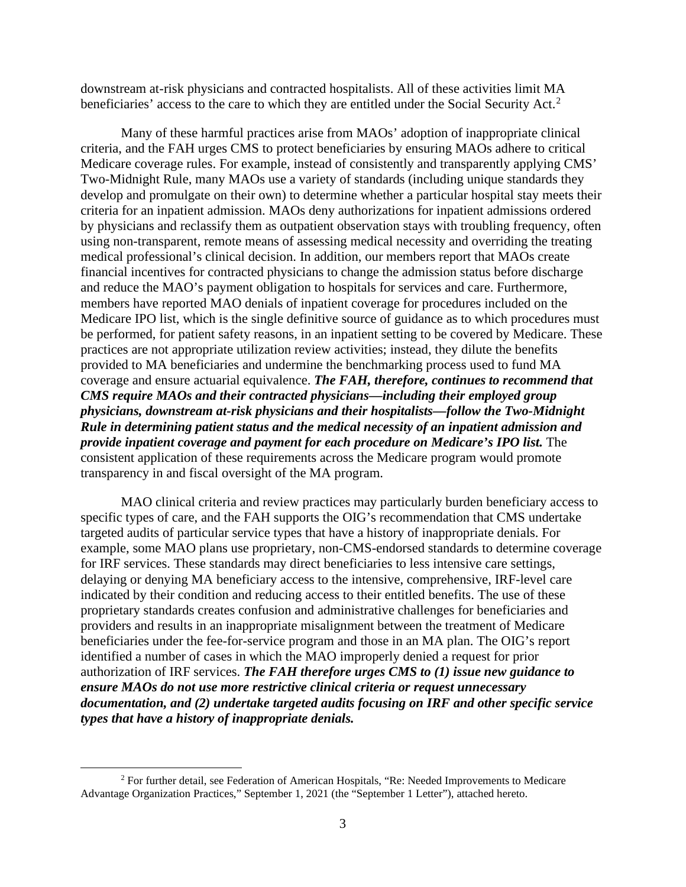downstream at-risk physicians and contracted hospitalists. All of these activities limit MA beneficiaries' access to the care to which they are entitled under the Social Security Act.<sup>[2](#page-2-0)</sup>

Many of these harmful practices arise from MAOs' adoption of inappropriate clinical criteria, and the FAH urges CMS to protect beneficiaries by ensuring MAOs adhere to critical Medicare coverage rules. For example, instead of consistently and transparently applying CMS' Two-Midnight Rule, many MAOs use a variety of standards (including unique standards they develop and promulgate on their own) to determine whether a particular hospital stay meets their criteria for an inpatient admission. MAOs deny authorizations for inpatient admissions ordered by physicians and reclassify them as outpatient observation stays with troubling frequency, often using non-transparent, remote means of assessing medical necessity and overriding the treating medical professional's clinical decision. In addition, our members report that MAOs create financial incentives for contracted physicians to change the admission status before discharge and reduce the MAO's payment obligation to hospitals for services and care. Furthermore, members have reported MAO denials of inpatient coverage for procedures included on the Medicare IPO list, which is the single definitive source of guidance as to which procedures must be performed, for patient safety reasons, in an inpatient setting to be covered by Medicare. These practices are not appropriate utilization review activities; instead, they dilute the benefits provided to MA beneficiaries and undermine the benchmarking process used to fund MA coverage and ensure actuarial equivalence. *The FAH, therefore, continues to recommend that CMS require MAOs and their contracted physicians—including their employed group physicians, downstream at-risk physicians and their hospitalists—follow the Two-Midnight Rule in determining patient status and the medical necessity of an inpatient admission and provide inpatient coverage and payment for each procedure on Medicare's IPO list.* The consistent application of these requirements across the Medicare program would promote transparency in and fiscal oversight of the MA program.

MAO clinical criteria and review practices may particularly burden beneficiary access to specific types of care, and the FAH supports the OIG's recommendation that CMS undertake targeted audits of particular service types that have a history of inappropriate denials. For example, some MAO plans use proprietary, non-CMS-endorsed standards to determine coverage for IRF services. These standards may direct beneficiaries to less intensive care settings, delaying or denying MA beneficiary access to the intensive, comprehensive, IRF-level care indicated by their condition and reducing access to their entitled benefits. The use of these proprietary standards creates confusion and administrative challenges for beneficiaries and providers and results in an inappropriate misalignment between the treatment of Medicare beneficiaries under the fee-for-service program and those in an MA plan. The OIG's report identified a number of cases in which the MAO improperly denied a request for prior authorization of IRF services. *The FAH therefore urges CMS to (1) issue new guidance to ensure MAOs do not use more restrictive clinical criteria or request unnecessary documentation, and (2) undertake targeted audits focusing on IRF and other specific service types that have a history of inappropriate denials.*

<span id="page-2-0"></span><sup>&</sup>lt;sup>2</sup> For further detail, see Federation of American Hospitals, "Re: Needed Improvements to Medicare Advantage Organization Practices," September 1, 2021 (the "September 1 Letter"), attached hereto.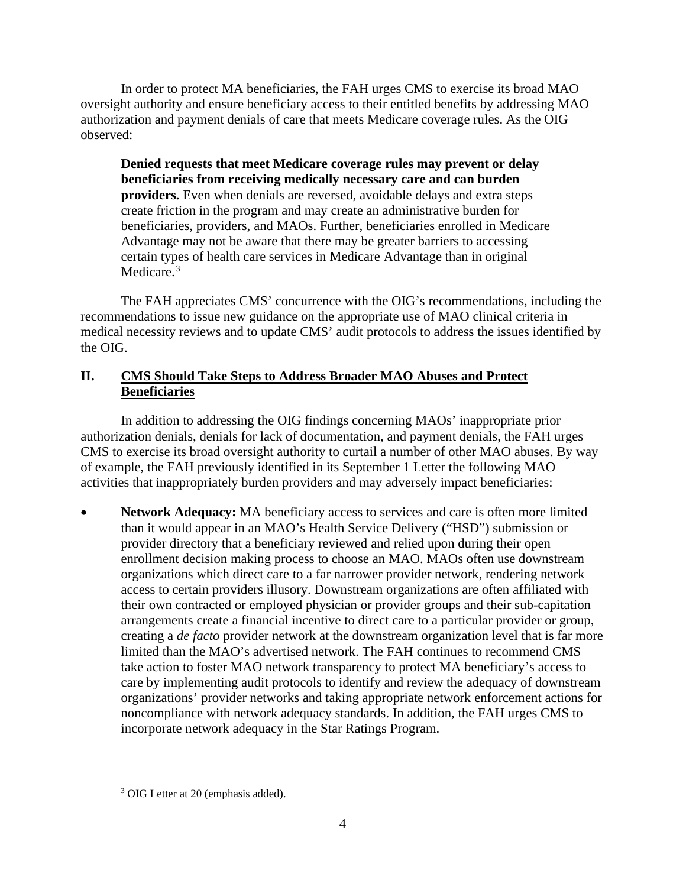In order to protect MA beneficiaries, the FAH urges CMS to exercise its broad MAO oversight authority and ensure beneficiary access to their entitled benefits by addressing MAO authorization and payment denials of care that meets Medicare coverage rules. As the OIG observed:

**Denied requests that meet Medicare coverage rules may prevent or delay beneficiaries from receiving medically necessary care and can burden providers.** Even when denials are reversed, avoidable delays and extra steps create friction in the program and may create an administrative burden for beneficiaries, providers, and MAOs. Further, beneficiaries enrolled in Medicare Advantage may not be aware that there may be greater barriers to accessing certain types of health care services in Medicare Advantage than in original Medicare.<sup>[3](#page-3-0)</sup>

The FAH appreciates CMS' concurrence with the OIG's recommendations, including the recommendations to issue new guidance on the appropriate use of MAO clinical criteria in medical necessity reviews and to update CMS' audit protocols to address the issues identified by the OIG.

# **II. CMS Should Take Steps to Address Broader MAO Abuses and Protect Beneficiaries**

In addition to addressing the OIG findings concerning MAOs' inappropriate prior authorization denials, denials for lack of documentation, and payment denials, the FAH urges CMS to exercise its broad oversight authority to curtail a number of other MAO abuses. By way of example, the FAH previously identified in its September 1 Letter the following MAO activities that inappropriately burden providers and may adversely impact beneficiaries:

Network Adequacy: MA beneficiary access to services and care is often more limited than it would appear in an MAO's Health Service Delivery ("HSD") submission or provider directory that a beneficiary reviewed and relied upon during their open enrollment decision making process to choose an MAO. MAOs often use downstream organizations which direct care to a far narrower provider network, rendering network access to certain providers illusory. Downstream organizations are often affiliated with their own contracted or employed physician or provider groups and their sub-capitation arrangements create a financial incentive to direct care to a particular provider or group, creating a *de facto* provider network at the downstream organization level that is far more limited than the MAO's advertised network. The FAH continues to recommend CMS take action to foster MAO network transparency to protect MA beneficiary's access to care by implementing audit protocols to identify and review the adequacy of downstream organizations' provider networks and taking appropriate network enforcement actions for noncompliance with network adequacy standards. In addition, the FAH urges CMS to incorporate network adequacy in the Star Ratings Program.

<span id="page-3-0"></span><sup>3</sup> OIG Letter at 20 (emphasis added).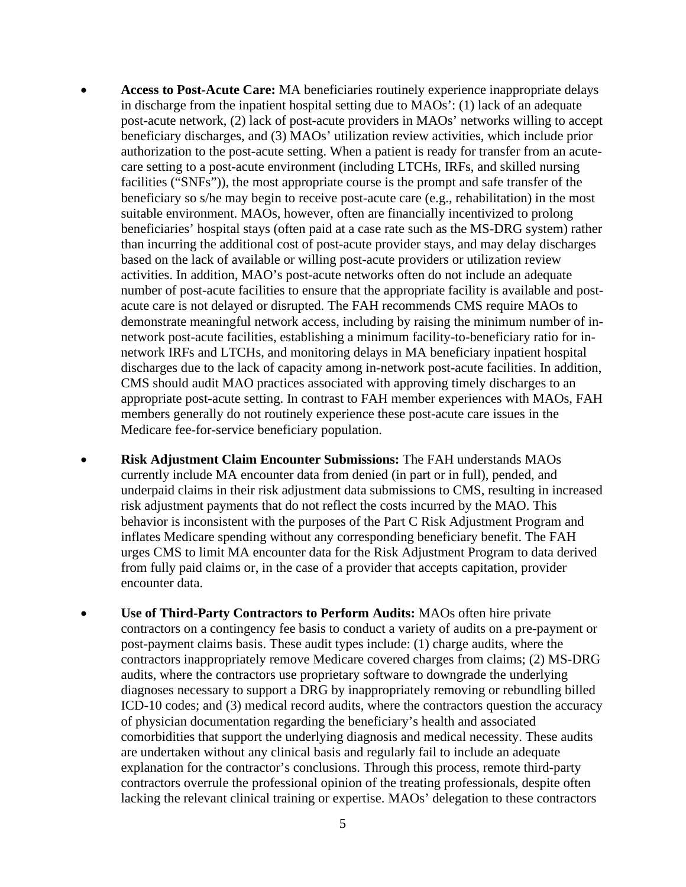- **Access to Post-Acute Care:** MA beneficiaries routinely experience inappropriate delays in discharge from the inpatient hospital setting due to MAOs': (1) lack of an adequate post-acute network, (2) lack of post-acute providers in MAOs' networks willing to accept beneficiary discharges, and (3) MAOs' utilization review activities, which include prior authorization to the post-acute setting. When a patient is ready for transfer from an acutecare setting to a post-acute environment (including LTCHs, IRFs, and skilled nursing facilities ("SNFs")), the most appropriate course is the prompt and safe transfer of the beneficiary so s/he may begin to receive post-acute care (e.g., rehabilitation) in the most suitable environment. MAOs, however, often are financially incentivized to prolong beneficiaries' hospital stays (often paid at a case rate such as the MS-DRG system) rather than incurring the additional cost of post-acute provider stays, and may delay discharges based on the lack of available or willing post-acute providers or utilization review activities. In addition, MAO's post-acute networks often do not include an adequate number of post-acute facilities to ensure that the appropriate facility is available and postacute care is not delayed or disrupted. The FAH recommends CMS require MAOs to demonstrate meaningful network access, including by raising the minimum number of innetwork post-acute facilities, establishing a minimum facility-to-beneficiary ratio for innetwork IRFs and LTCHs, and monitoring delays in MA beneficiary inpatient hospital discharges due to the lack of capacity among in-network post-acute facilities. In addition, CMS should audit MAO practices associated with approving timely discharges to an appropriate post-acute setting. In contrast to FAH member experiences with MAOs, FAH members generally do not routinely experience these post-acute care issues in the Medicare fee-for-service beneficiary population.
- **Risk Adjustment Claim Encounter Submissions:** The FAH understands MAOs currently include MA encounter data from denied (in part or in full), pended, and underpaid claims in their risk adjustment data submissions to CMS, resulting in increased risk adjustment payments that do not reflect the costs incurred by the MAO. This behavior is inconsistent with the purposes of the Part C Risk Adjustment Program and inflates Medicare spending without any corresponding beneficiary benefit. The FAH urges CMS to limit MA encounter data for the Risk Adjustment Program to data derived from fully paid claims or, in the case of a provider that accepts capitation, provider encounter data.
- **Use of Third-Party Contractors to Perform Audits:** MAOs often hire private contractors on a contingency fee basis to conduct a variety of audits on a pre-payment or post-payment claims basis. These audit types include: (1) charge audits, where the contractors inappropriately remove Medicare covered charges from claims; (2) MS-DRG audits, where the contractors use proprietary software to downgrade the underlying diagnoses necessary to support a DRG by inappropriately removing or rebundling billed ICD-10 codes; and (3) medical record audits, where the contractors question the accuracy of physician documentation regarding the beneficiary's health and associated comorbidities that support the underlying diagnosis and medical necessity. These audits are undertaken without any clinical basis and regularly fail to include an adequate explanation for the contractor's conclusions. Through this process, remote third-party contractors overrule the professional opinion of the treating professionals, despite often lacking the relevant clinical training or expertise. MAOs' delegation to these contractors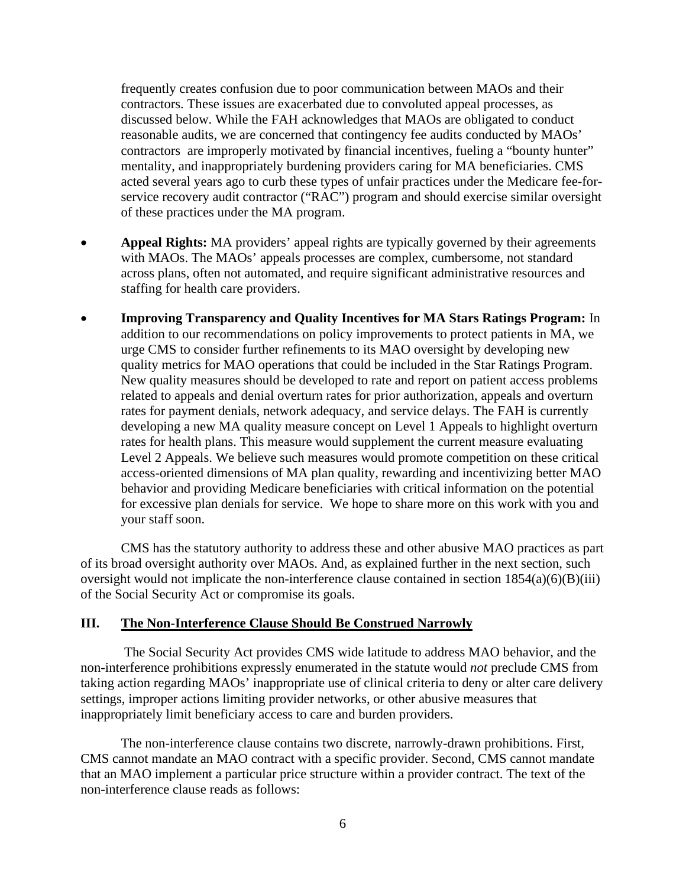frequently creates confusion due to poor communication between MAOs and their contractors. These issues are exacerbated due to convoluted appeal processes, as discussed below. While the FAH acknowledges that MAOs are obligated to conduct reasonable audits, we are concerned that contingency fee audits conducted by MAOs' contractors are improperly motivated by financial incentives, fueling a "bounty hunter" mentality, and inappropriately burdening providers caring for MA beneficiaries. CMS acted several years ago to curb these types of unfair practices under the Medicare fee-forservice recovery audit contractor ("RAC") program and should exercise similar oversight of these practices under the MA program.

- **Appeal Rights:** MA providers' appeal rights are typically governed by their agreements with MAOs. The MAOs' appeals processes are complex, cumbersome, not standard across plans, often not automated, and require significant administrative resources and staffing for health care providers.
- **Improving Transparency and Quality Incentives for MA Stars Ratings Program:** In addition to our recommendations on policy improvements to protect patients in MA, we urge CMS to consider further refinements to its MAO oversight by developing new quality metrics for MAO operations that could be included in the Star Ratings Program. New quality measures should be developed to rate and report on patient access problems related to appeals and denial overturn rates for prior authorization, appeals and overturn rates for payment denials, network adequacy, and service delays. The FAH is currently developing a new MA quality measure concept on Level 1 Appeals to highlight overturn rates for health plans. This measure would supplement the current measure evaluating Level 2 Appeals. We believe such measures would promote competition on these critical access-oriented dimensions of MA plan quality, rewarding and incentivizing better MAO behavior and providing Medicare beneficiaries with critical information on the potential for excessive plan denials for service. We hope to share more on this work with you and your staff soon.

CMS has the statutory authority to address these and other abusive MAO practices as part of its broad oversight authority over MAOs. And, as explained further in the next section, such oversight would not implicate the non-interference clause contained in section  $1854(a)(6)(B)(iii)$ of the Social Security Act or compromise its goals.

## **III. The Non-Interference Clause Should Be Construed Narrowly**

The Social Security Act provides CMS wide latitude to address MAO behavior, and the non-interference prohibitions expressly enumerated in the statute would *not* preclude CMS from taking action regarding MAOs' inappropriate use of clinical criteria to deny or alter care delivery settings, improper actions limiting provider networks, or other abusive measures that inappropriately limit beneficiary access to care and burden providers.

The non-interference clause contains two discrete, narrowly-drawn prohibitions. First, CMS cannot mandate an MAO contract with a specific provider. Second, CMS cannot mandate that an MAO implement a particular price structure within a provider contract. The text of the non-interference clause reads as follows: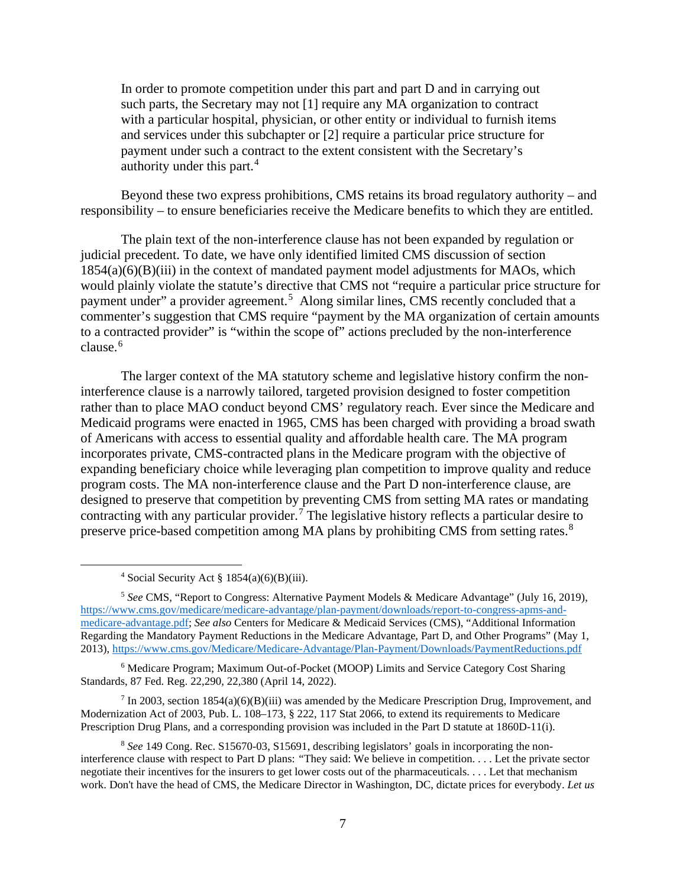In order to promote competition under this part and part D and in carrying out such parts, the Secretary may not [1] require any MA organization to contract with a particular hospital, physician, or other entity or individual to furnish items and services under this subchapter or [2] require a particular price structure for payment under such a contract to the extent consistent with the Secretary's authority under this part.<sup>[4](#page-6-0)</sup>

Beyond these two express prohibitions, CMS retains its broad regulatory authority – and responsibility – to ensure beneficiaries receive the Medicare benefits to which they are entitled.

The plain text of the non-interference clause has not been expanded by regulation or judicial precedent. To date, we have only identified limited CMS discussion of section  $1854(a)(6)(B)(iii)$  in the context of mandated payment model adjustments for MAOs, which would plainly violate the statute's directive that CMS not "require a particular price structure for payment under" a provider agreement.<sup>[5](#page-6-1)</sup> Along similar lines, CMS recently concluded that a commenter's suggestion that CMS require "payment by the MA organization of certain amounts to a contracted provider" is "within the scope of" actions precluded by the non-interference clause.<sup>[6](#page-6-2)</sup>

The larger context of the MA statutory scheme and legislative history confirm the noninterference clause is a narrowly tailored, targeted provision designed to foster competition rather than to place MAO conduct beyond CMS' regulatory reach. Ever since the Medicare and Medicaid programs were enacted in 1965, CMS has been charged with providing a broad swath of Americans with access to essential quality and affordable health care. The MA program incorporates private, CMS-contracted plans in the Medicare program with the objective of expanding beneficiary choice while leveraging plan competition to improve quality and reduce program costs. The MA non-interference clause and the Part D non-interference clause, are designed to preserve that competition by preventing CMS from setting MA rates or mandating contracting with any particular provider. [7](#page-6-3) The legislative history reflects a particular desire to preserve price-based competition among MA plans by prohibiting CMS from setting rates.<sup>[8](#page-6-4)</sup>

<span id="page-6-2"></span><sup>6</sup> Medicare Program; Maximum Out-of-Pocket (MOOP) Limits and Service Category Cost Sharing Standards, 87 Fed. Reg. 22,290, 22,380 (April 14, 2022).

<span id="page-6-3"></span> $7 \text{ In } 2003$ , section 1854(a)(6)(B)(iii) was amended by the Medicare Prescription Drug, Improvement, and Modernization Act of 2003, Pub. L. 108-173, § 222, 117 Stat 2066, to extend its requirements to Medicare Prescription Drug Plans, and a corresponding provision was included in the Part D statute at 1860D-11(i).

<sup>&</sup>lt;sup>4</sup> Social Security Act  $\S 1854(a)(6)(B)(iii)$ .

<span id="page-6-1"></span><span id="page-6-0"></span><sup>5</sup> *See* CMS, "Report to Congress: Alternative Payment Models & Medicare Advantage" (July 16, 2019), [https://www.cms.gov/medicare/medicare-advantage/plan-payment/downloads/report-to-congress-apms-and](https://www.cms.gov/medicare/medicare-advantage/plan-payment/downloads/report-to-congress-apms-and-medicare-advantage.pdf)[medicare-advantage.pdf;](https://www.cms.gov/medicare/medicare-advantage/plan-payment/downloads/report-to-congress-apms-and-medicare-advantage.pdf) *See also* Centers for Medicare & Medicaid Services (CMS), "Additional Information Regarding the Mandatory Payment Reductions in the Medicare Advantage, Part D, and Other Programs" (May 1, 2013),<https://www.cms.gov/Medicare/Medicare-Advantage/Plan-Payment/Downloads/PaymentReductions.pdf>

<span id="page-6-4"></span><sup>8</sup> *See* 149 Cong. Rec. S15670-03, S15691, describing legislators' goals in incorporating the noninterference clause with respect to Part D plans: *"*They said: We believe in competition. . . . Let the private sector negotiate their incentives for the insurers to get lower costs out of the pharmaceuticals. . . . Let that mechanism work. Don't have the head of CMS, the Medicare Director in Washington, DC, dictate prices for everybody. *Let us*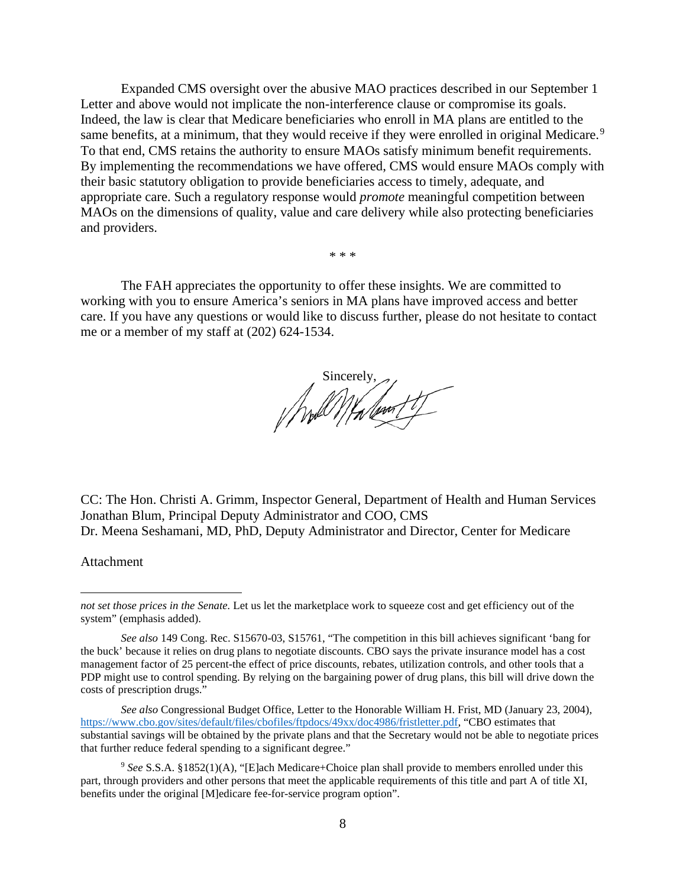Expanded CMS oversight over the abusive MAO practices described in our September 1 Letter and above would not implicate the non-interference clause or compromise its goals. Indeed, the law is clear that Medicare beneficiaries who enroll in MA plans are entitled to the same benefits, at a minimum, that they would receive if they were enrolled in original Medicare.<sup>[9](#page-7-0)</sup> To that end, CMS retains the authority to ensure MAOs satisfy minimum benefit requirements. By implementing the recommendations we have offered, CMS would ensure MAOs comply with their basic statutory obligation to provide beneficiaries access to timely, adequate, and appropriate care. Such a regulatory response would *promote* meaningful competition between MAOs on the dimensions of quality, value and care delivery while also protecting beneficiaries and providers.

\* \* \*

The FAH appreciates the opportunity to offer these insights. We are committed to working with you to ensure America's seniors in MA plans have improved access and better care. If you have any questions or would like to discuss further, please do not hesitate to contact me or a member of my staff at (202) 624-1534.

( hold Malent?

CC: The Hon. Christi A. Grimm, Inspector General, Department of Health and Human Services Jonathan Blum, Principal Deputy Administrator and COO, CMS Dr. Meena Seshamani, MD, PhD, Deputy Administrator and Director, Center for Medicare

Attachment

*not set those prices in the Senate.* Let us let the marketplace work to squeeze cost and get efficiency out of the system" (emphasis added).

*See also* 149 Cong. Rec. S15670-03, S15761, "The competition in this bill achieves significant 'bang for the buck' because it relies on drug plans to negotiate discounts. CBO says the private insurance model has a cost management factor of 25 percent-the effect of price discounts, rebates, utilization controls, and other tools that a PDP might use to control spending. By relying on the bargaining power of drug plans, this bill will drive down the costs of prescription drugs."

*See also* Congressional Budget Office, Letter to the Honorable William H. Frist, MD (January 23, 2004), [https://www.cbo.gov/sites/default/files/cbofiles/ftpdocs/49xx/doc4986/fristletter.pdf,](https://www.cbo.gov/sites/default/files/cbofiles/ftpdocs/49xx/doc4986/fristletter.pdf) "CBO estimates that substantial savings will be obtained by the private plans and that the Secretary would not be able to negotiate prices that further reduce federal spending to a significant degree."

<span id="page-7-0"></span><sup>9</sup> *See* S.S.A. §1852(1)(A), "[E]ach Medicare+Choice plan shall provide to members enrolled under this part, through providers and other persons that meet the applicable requirements of this title and part A of title XI, benefits under the original [M]edicare fee-for-service program option".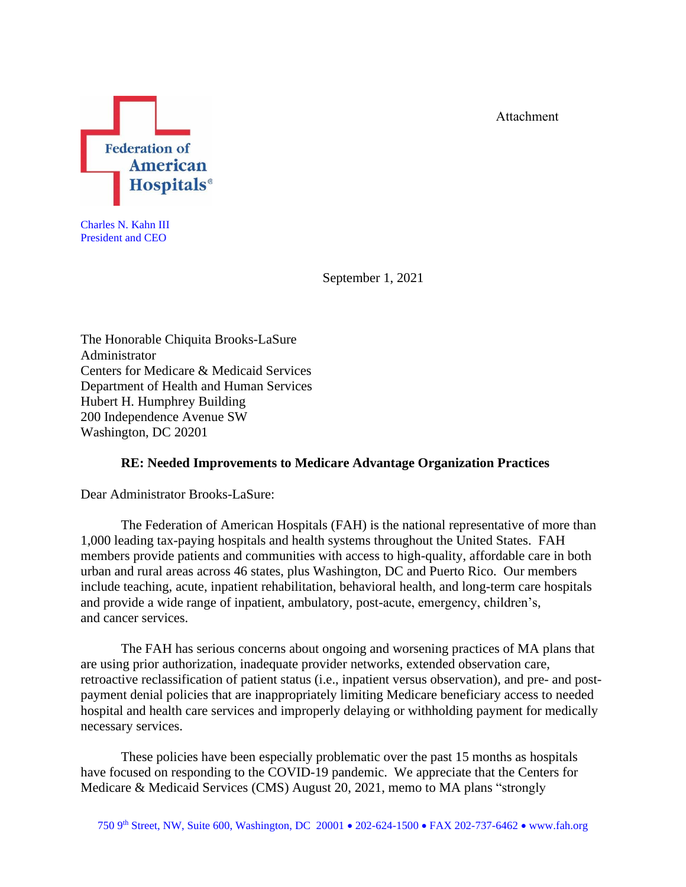Attachment



Charles N. Kahn III President and CEO

September 1, 2021

The Honorable Chiquita Brooks-LaSure Administrator Centers for Medicare & Medicaid Services Department of Health and Human Services Hubert H. Humphrey Building 200 Independence Avenue SW Washington, DC 20201

## **RE: Needed Improvements to Medicare Advantage Organization Practices**

Dear Administrator Brooks-LaSure:

The Federation of American Hospitals (FAH) is the national representative of more than 1,000 leading tax-paying hospitals and health systems throughout the United States. FAH members provide patients and communities with access to high-quality, affordable care in both urban and rural areas across 46 states, plus Washington, DC and Puerto Rico. Our members include teaching, acute, inpatient rehabilitation, behavioral health, and long-term care hospitals and provide a wide range of inpatient, ambulatory, post-acute, emergency, children's, and cancer services.

The FAH has serious concerns about ongoing and worsening practices of MA plans that are using prior authorization, inadequate provider networks, extended observation care, retroactive reclassification of patient status (i.e., inpatient versus observation), and pre- and postpayment denial policies that are inappropriately limiting Medicare beneficiary access to needed hospital and health care services and improperly delaying or withholding payment for medically necessary services.

These policies have been especially problematic over the past 15 months as hospitals have focused on responding to the COVID-19 pandemic. We appreciate that the Centers for Medicare & Medicaid Services (CMS) August 20, 2021, memo to MA plans "strongly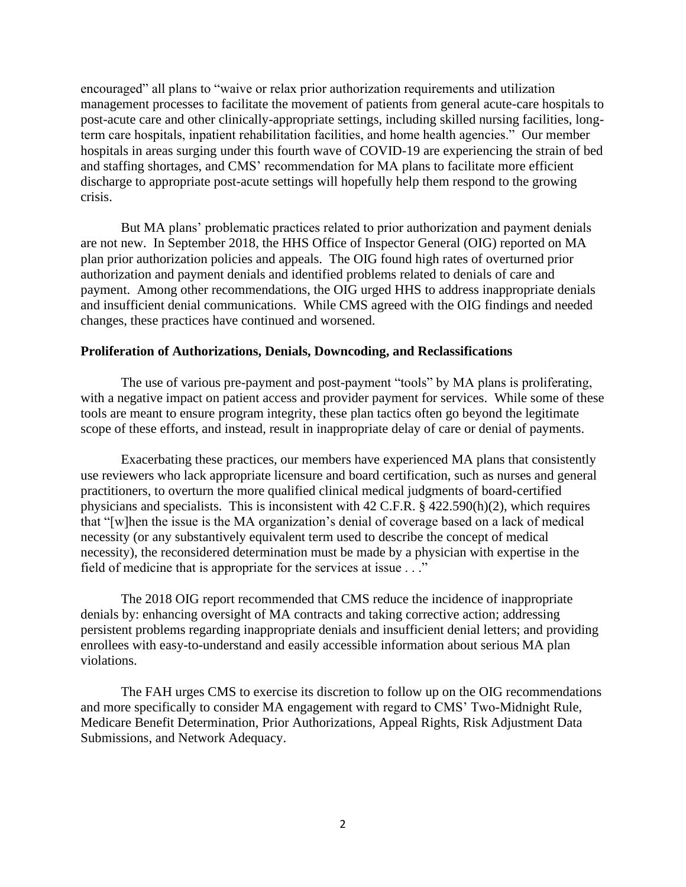encouraged" all plans to "waive or relax prior authorization requirements and utilization management processes to facilitate the movement of patients from general acute-care hospitals to post-acute care and other clinically-appropriate settings, including skilled nursing facilities, longterm care hospitals, inpatient rehabilitation facilities, and home health agencies." Our member hospitals in areas surging under this fourth wave of COVID-19 are experiencing the strain of bed and staffing shortages, and CMS' recommendation for MA plans to facilitate more efficient discharge to appropriate post-acute settings will hopefully help them respond to the growing crisis.

But MA plans' problematic practices related to prior authorization and payment denials are not new. In September 2018, the HHS Office of Inspector General (OIG) reported on MA plan prior authorization policies and appeals. The OIG found high rates of overturned prior authorization and payment denials and identified problems related to denials of care and payment. Among other recommendations, the OIG urged HHS to address inappropriate denials and insufficient denial communications. While CMS agreed with the OIG findings and needed changes, these practices have continued and worsened.

#### **Proliferation of Authorizations, Denials, Downcoding, and Reclassifications**

The use of various pre-payment and post-payment "tools" by MA plans is proliferating, with a negative impact on patient access and provider payment for services. While some of these tools are meant to ensure program integrity, these plan tactics often go beyond the legitimate scope of these efforts, and instead, result in inappropriate delay of care or denial of payments.

Exacerbating these practices, our members have experienced MA plans that consistently use reviewers who lack appropriate licensure and board certification, such as nurses and general practitioners, to overturn the more qualified clinical medical judgments of board-certified physicians and specialists. This is inconsistent with 42 C.F.R. § 422.590(h)(2), which requires that "[w]hen the issue is the MA organization's denial of coverage based on a lack of medical necessity (or any substantively equivalent term used to describe the concept of medical necessity), the reconsidered determination must be made by a physician with expertise in the field of medicine that is appropriate for the services at issue . . ."

The 2018 OIG report recommended that CMS reduce the incidence of inappropriate denials by: enhancing oversight of MA contracts and taking corrective action; addressing persistent problems regarding inappropriate denials and insufficient denial letters; and providing enrollees with easy-to-understand and easily accessible information about serious MA plan violations.

The FAH urges CMS to exercise its discretion to follow up on the OIG recommendations and more specifically to consider MA engagement with regard to CMS' Two-Midnight Rule, Medicare Benefit Determination, Prior Authorizations, Appeal Rights, Risk Adjustment Data Submissions, and Network Adequacy.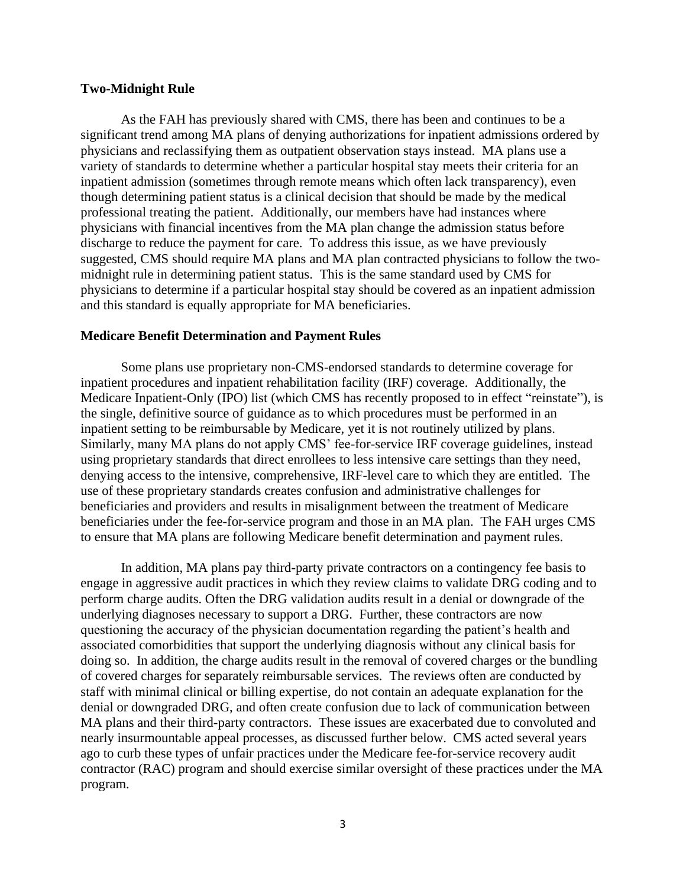#### **Two-Midnight Rule**

As the FAH has previously shared with CMS, there has been and continues to be a significant trend among MA plans of denying authorizations for inpatient admissions ordered by physicians and reclassifying them as outpatient observation stays instead. MA plans use a variety of standards to determine whether a particular hospital stay meets their criteria for an inpatient admission (sometimes through remote means which often lack transparency), even though determining patient status is a clinical decision that should be made by the medical professional treating the patient. Additionally, our members have had instances where physicians with financial incentives from the MA plan change the admission status before discharge to reduce the payment for care. To address this issue, as we have previously suggested, CMS should require MA plans and MA plan contracted physicians to follow the twomidnight rule in determining patient status. This is the same standard used by CMS for physicians to determine if a particular hospital stay should be covered as an inpatient admission and this standard is equally appropriate for MA beneficiaries.

#### **Medicare Benefit Determination and Payment Rules**

Some plans use proprietary non-CMS-endorsed standards to determine coverage for inpatient procedures and inpatient rehabilitation facility (IRF) coverage. Additionally, the Medicare Inpatient-Only (IPO) list (which CMS has recently proposed to in effect "reinstate"), is the single, definitive source of guidance as to which procedures must be performed in an inpatient setting to be reimbursable by Medicare, yet it is not routinely utilized by plans. Similarly, many MA plans do not apply CMS' fee-for-service IRF coverage guidelines, instead using proprietary standards that direct enrollees to less intensive care settings than they need, denying access to the intensive, comprehensive, IRF-level care to which they are entitled. The use of these proprietary standards creates confusion and administrative challenges for beneficiaries and providers and results in misalignment between the treatment of Medicare beneficiaries under the fee-for-service program and those in an MA plan. The FAH urges CMS to ensure that MA plans are following Medicare benefit determination and payment rules.

In addition, MA plans pay third-party private contractors on a contingency fee basis to engage in aggressive audit practices in which they review claims to validate DRG coding and to perform charge audits. Often the DRG validation audits result in a denial or downgrade of the underlying diagnoses necessary to support a DRG. Further, these contractors are now questioning the accuracy of the physician documentation regarding the patient's health and associated comorbidities that support the underlying diagnosis without any clinical basis for doing so. In addition, the charge audits result in the removal of covered charges or the bundling of covered charges for separately reimbursable services. The reviews often are conducted by staff with minimal clinical or billing expertise, do not contain an adequate explanation for the denial or downgraded DRG, and often create confusion due to lack of communication between MA plans and their third-party contractors. These issues are exacerbated due to convoluted and nearly insurmountable appeal processes, as discussed further below. CMS acted several years ago to curb these types of unfair practices under the Medicare fee-for-service recovery audit contractor (RAC) program and should exercise similar oversight of these practices under the MA program.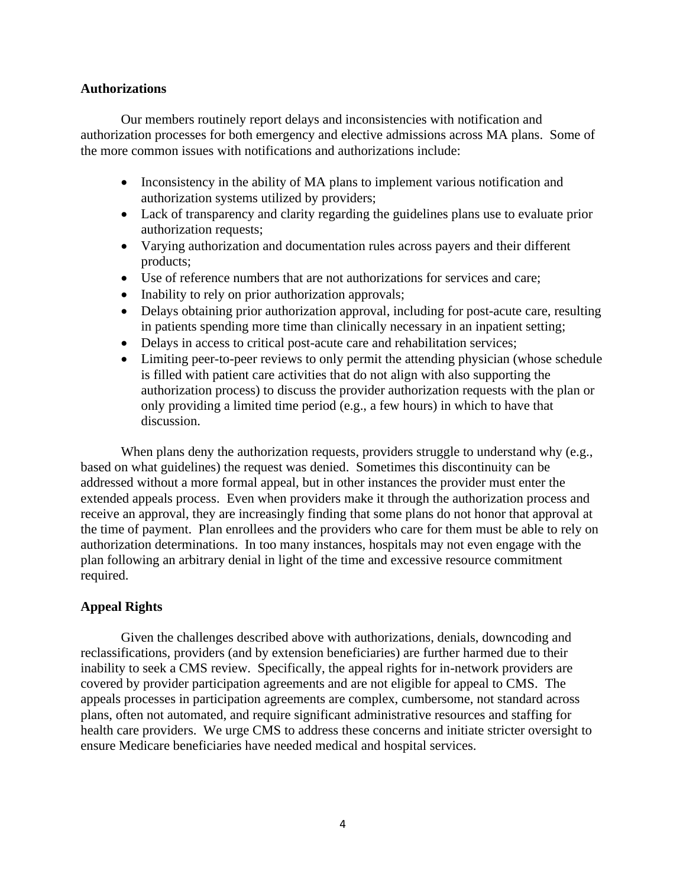### **Authorizations**

Our members routinely report delays and inconsistencies with notification and authorization processes for both emergency and elective admissions across MA plans. Some of the more common issues with notifications and authorizations include:

- Inconsistency in the ability of MA plans to implement various notification and authorization systems utilized by providers;
- Lack of transparency and clarity regarding the guidelines plans use to evaluate prior authorization requests;
- Varying authorization and documentation rules across payers and their different products;
- Use of reference numbers that are not authorizations for services and care;
- Inability to rely on prior authorization approvals;
- Delays obtaining prior authorization approval, including for post-acute care, resulting in patients spending more time than clinically necessary in an inpatient setting;
- Delays in access to critical post-acute care and rehabilitation services;
- Limiting peer-to-peer reviews to only permit the attending physician (whose schedule is filled with patient care activities that do not align with also supporting the authorization process) to discuss the provider authorization requests with the plan or only providing a limited time period (e.g., a few hours) in which to have that discussion.

When plans deny the authorization requests, providers struggle to understand why (e.g., based on what guidelines) the request was denied. Sometimes this discontinuity can be addressed without a more formal appeal, but in other instances the provider must enter the extended appeals process. Even when providers make it through the authorization process and receive an approval, they are increasingly finding that some plans do not honor that approval at the time of payment. Plan enrollees and the providers who care for them must be able to rely on authorization determinations. In too many instances, hospitals may not even engage with the plan following an arbitrary denial in light of the time and excessive resource commitment required.

# **Appeal Rights**

Given the challenges described above with authorizations, denials, downcoding and reclassifications, providers (and by extension beneficiaries) are further harmed due to their inability to seek a CMS review. Specifically, the appeal rights for in-network providers are covered by provider participation agreements and are not eligible for appeal to CMS. The appeals processes in participation agreements are complex, cumbersome, not standard across plans, often not automated, and require significant administrative resources and staffing for health care providers. We urge CMS to address these concerns and initiate stricter oversight to ensure Medicare beneficiaries have needed medical and hospital services.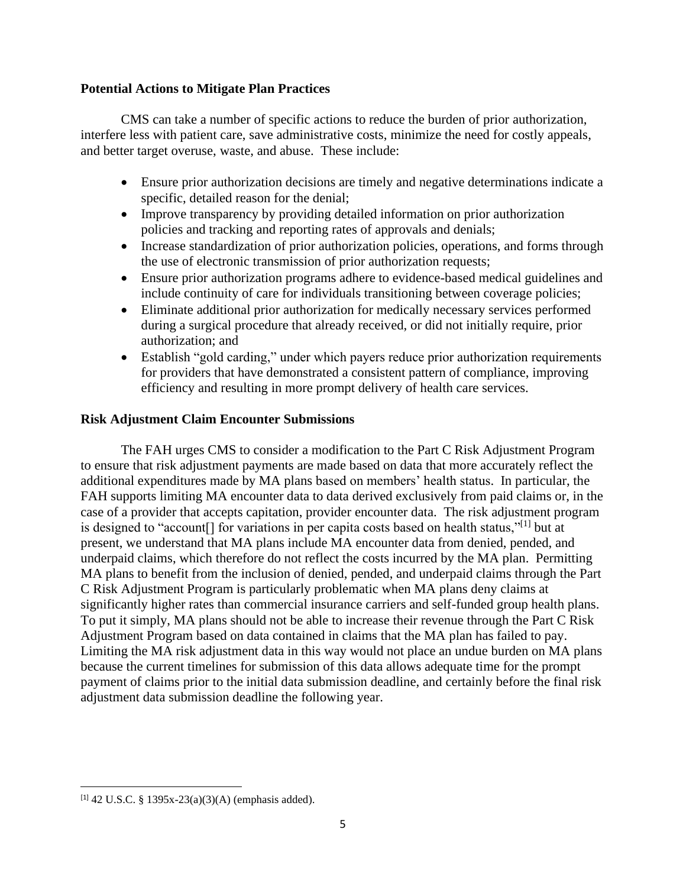## **Potential Actions to Mitigate Plan Practices**

CMS can take a number of specific actions to reduce the burden of prior authorization, interfere less with patient care, save administrative costs, minimize the need for costly appeals, and better target overuse, waste, and abuse. These include:

- Ensure prior authorization decisions are timely and negative determinations indicate a specific, detailed reason for the denial;
- Improve transparency by providing detailed information on prior authorization policies and tracking and reporting rates of approvals and denials;
- Increase standardization of prior authorization policies, operations, and forms through the use of electronic transmission of prior authorization requests;
- Ensure prior authorization programs adhere to evidence-based medical guidelines and include continuity of care for individuals transitioning between coverage policies;
- Eliminate additional prior authorization for medically necessary services performed during a surgical procedure that already received, or did not initially require, prior authorization; and
- Establish "gold carding," under which payers reduce prior authorization requirements for providers that have demonstrated a consistent pattern of compliance, improving efficiency and resulting in more prompt delivery of health care services.

## **Risk Adjustment Claim Encounter Submissions**

The FAH urges CMS to consider a modification to the Part C Risk Adjustment Program to ensure that risk adjustment payments are made based on data that more accurately reflect the additional expenditures made by MA plans based on members' health status. In particular, the FAH supports limiting MA encounter data to data derived exclusively from paid claims or, in the case of a provider that accepts capitation, provider encounter data. The risk adjustment program is designed to "account[] for variations in per capita costs based on health status,"[1] but at present, we understand that MA plans include MA encounter data from denied, pended, and underpaid claims, which therefore do not reflect the costs incurred by the MA plan. Permitting MA plans to benefit from the inclusion of denied, pended, and underpaid claims through the Part C Risk Adjustment Program is particularly problematic when MA plans deny claims at significantly higher rates than commercial insurance carriers and self-funded group health plans. To put it simply, MA plans should not be able to increase their revenue through the Part C Risk Adjustment Program based on data contained in claims that the MA plan has failed to pay. Limiting the MA risk adjustment data in this way would not place an undue burden on MA plans because the current timelines for submission of this data allows adequate time for the prompt payment of claims prior to the initial data submission deadline, and certainly before the final risk adjustment data submission deadline the following year.

 $[1]$  42 U.S.C. § 1395x-23(a)(3)(A) (emphasis added).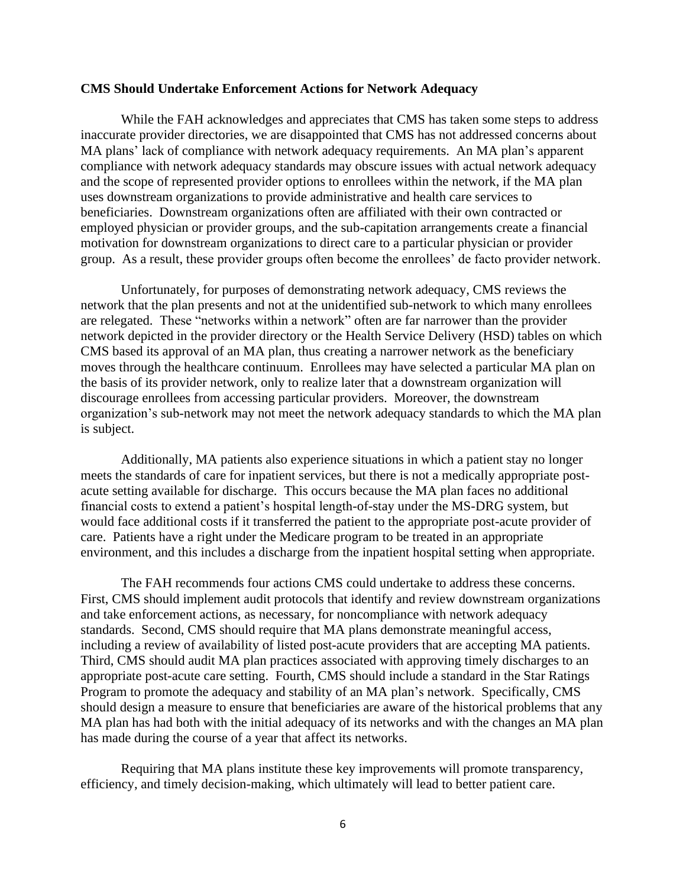#### **CMS Should Undertake Enforcement Actions for Network Adequacy**

While the FAH acknowledges and appreciates that CMS has taken some steps to address inaccurate provider directories, we are disappointed that CMS has not addressed concerns about MA plans' lack of compliance with network adequacy requirements. An MA plan's apparent compliance with network adequacy standards may obscure issues with actual network adequacy and the scope of represented provider options to enrollees within the network, if the MA plan uses downstream organizations to provide administrative and health care services to beneficiaries. Downstream organizations often are affiliated with their own contracted or employed physician or provider groups, and the sub-capitation arrangements create a financial motivation for downstream organizations to direct care to a particular physician or provider group. As a result, these provider groups often become the enrollees' de facto provider network.

Unfortunately, for purposes of demonstrating network adequacy, CMS reviews the network that the plan presents and not at the unidentified sub-network to which many enrollees are relegated. These "networks within a network" often are far narrower than the provider network depicted in the provider directory or the Health Service Delivery (HSD) tables on which CMS based its approval of an MA plan, thus creating a narrower network as the beneficiary moves through the healthcare continuum. Enrollees may have selected a particular MA plan on the basis of its provider network, only to realize later that a downstream organization will discourage enrollees from accessing particular providers. Moreover, the downstream organization's sub-network may not meet the network adequacy standards to which the MA plan is subject.

Additionally, MA patients also experience situations in which a patient stay no longer meets the standards of care for inpatient services, but there is not a medically appropriate postacute setting available for discharge. This occurs because the MA plan faces no additional financial costs to extend a patient's hospital length-of-stay under the MS-DRG system, but would face additional costs if it transferred the patient to the appropriate post-acute provider of care. Patients have a right under the Medicare program to be treated in an appropriate environment, and this includes a discharge from the inpatient hospital setting when appropriate.

The FAH recommends four actions CMS could undertake to address these concerns. First, CMS should implement audit protocols that identify and review downstream organizations and take enforcement actions, as necessary, for noncompliance with network adequacy standards. Second, CMS should require that MA plans demonstrate meaningful access, including a review of availability of listed post-acute providers that are accepting MA patients. Third, CMS should audit MA plan practices associated with approving timely discharges to an appropriate post-acute care setting. Fourth, CMS should include a standard in the Star Ratings Program to promote the adequacy and stability of an MA plan's network. Specifically, CMS should design a measure to ensure that beneficiaries are aware of the historical problems that any MA plan has had both with the initial adequacy of its networks and with the changes an MA plan has made during the course of a year that affect its networks.

Requiring that MA plans institute these key improvements will promote transparency, efficiency, and timely decision-making, which ultimately will lead to better patient care.